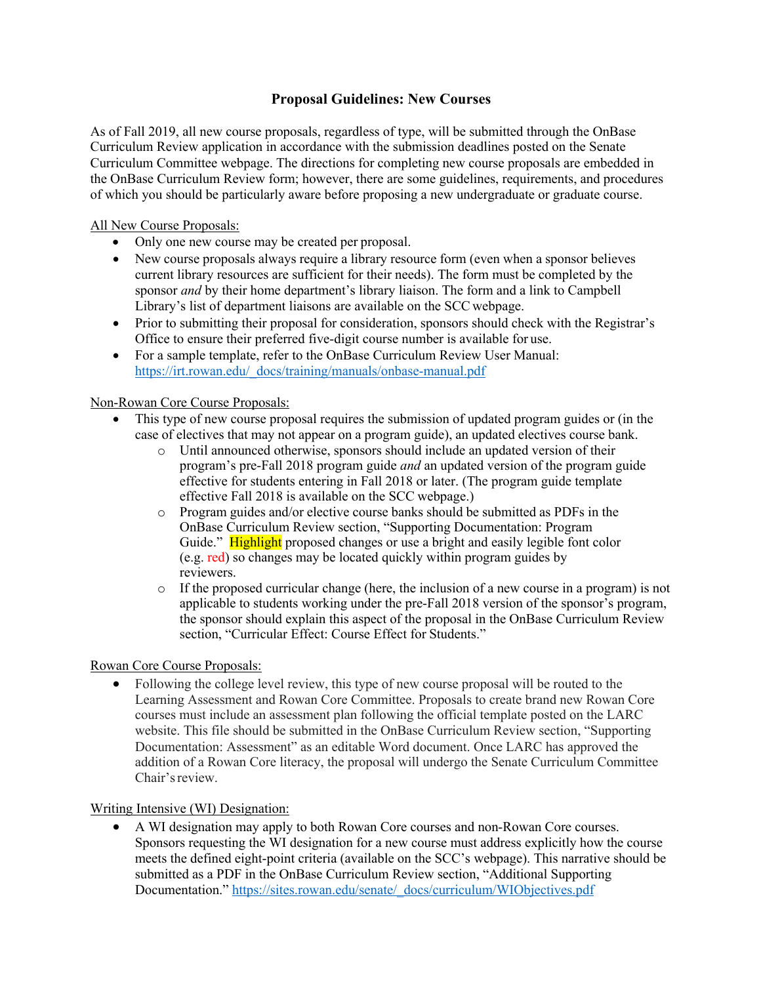## **Proposal Guidelines: New Courses**

As of Fall 2019, all new course proposals, regardless of type, will be submitted through the OnBase Curriculum Review application in accordance with the submission deadlines posted on the Senate Curriculum Committee webpage. The directions for completing new course proposals are embedded in the OnBase Curriculum Review form; however, there are some guidelines, requirements, and procedures of which you should be particularly aware before proposing a new undergraduate or graduate course.

### All New Course Proposals:

- Only one new course may be created per proposal.
- New course proposals always require a library resource form (even when a sponsor believes current library resources are sufficient for their needs). The form must be completed by the sponsor *and* by their home department's library liaison. The form and a link to Campbell Library's list of department liaisons are available on the SCC webpage.
- Prior to submitting their proposal for consideration, sponsors should check with the Registrar's Office to ensure their preferred five-digit course number is available for use.
- For a sample template, refer to the OnBase Curriculum Review User Manual: https://irt.rowan.edu/\_docs/training/manuals/onbase-manual.pdf

#### Non-Rowan Core Course Proposals:

- This type of new course proposal requires the submission of updated program guides or (in the case of electives that may not appear on a program guide), an updated electives course bank.
	- o Until announced otherwise, sponsors should include an updated version of their program's pre-Fall 2018 program guide *and* an updated version of the program guide effective for students entering in Fall 2018 or later. (The program guide template effective Fall 2018 is available on the SCC webpage.)
	- o Program guides and/or elective course banks should be submitted as PDFs in the OnBase Curriculum Review section, "Supporting Documentation: Program Guide." Highlight proposed changes or use a bright and easily legible font color (e.g. red) so changes may be located quickly within program guides by reviewers.
	- o If the proposed curricular change (here, the inclusion of a new course in a program) is not applicable to students working under the pre-Fall 2018 version of the sponsor's program, the sponsor should explain this aspect of the proposal in the OnBase Curriculum Review section, "Curricular Effect: Course Effect for Students."

#### Rowan Core Course Proposals:

• Following the college level review, this type of new course proposal will be routed to the Learning Assessment and Rowan Core Committee. Proposals to create brand new Rowan Core courses must include an assessment plan following the official template posted on the LARC website. This file should be submitted in the OnBase Curriculum Review section, "Supporting Documentation: Assessment" as an editable Word document. Once LARC has approved the addition of a Rowan Core literacy, the proposal will undergo the Senate Curriculum Committee Chair's review.

#### Writing Intensive (WI) Designation:

• A WI designation may apply to both Rowan Core courses and non-Rowan Core courses. Sponsors requesting the WI designation for a new course must address explicitly how the course meets the defined eight-point criteria (available on the SCC's webpage). This narrative should be submitted as a PDF in the OnBase Curriculum Review section, "Additional Supporting Documentation." https://sites.rowan.edu/senate/\_docs/curriculum/WIObjectives.pdf